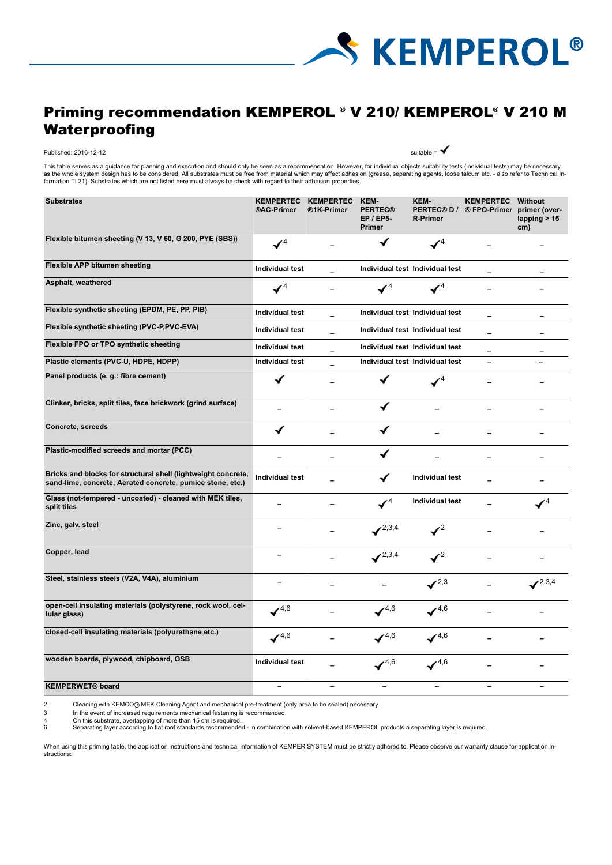

# Priming recommendation KEMPEROL ® V 210/ KEMPEROL ® V 210 M Waterproofing

## Published: 2016-12-12 suitable =  $\bigtriangledown$

This table serves as a guidance for planning and execution and should only be seen as a recommendation. However, for individual objects suitability tests (individual tests) may be necessary as the whole system design has to be considered. All substrates must be free from material which may affect adhesion (grease, separating agents, loose talcum etc. - also refer to Technical In-<br>formation TI 21). Substrates

| <b>Substrates</b>                                                                                                           | <b>KEMPERTEC</b><br>®AC-Primer | <b>KEMPERTEC</b><br>®1K-Primer | KEM-<br><b>PERTEC®</b><br><b>EP / EP5-</b><br>Primer | KEM-<br><b>PERTEC® D/</b><br><b>R-Primer</b> | <b>KEMPERTEC</b><br>® FPO-Primer primer (over- | Without<br>lapping $> 15$<br>cm) |
|-----------------------------------------------------------------------------------------------------------------------------|--------------------------------|--------------------------------|------------------------------------------------------|----------------------------------------------|------------------------------------------------|----------------------------------|
| Flexible bitumen sheeting (V 13, V 60, G 200, PYE (SBS))                                                                    | $\mathcal{V}^4$                |                                | √                                                    | $\checkmark$ <sup>4</sup>                    |                                                |                                  |
| <b>Flexible APP bitumen sheeting</b>                                                                                        | <b>Individual test</b>         |                                |                                                      | Individual test Individual test              | $\overline{\phantom{0}}$                       |                                  |
| Asphalt, weathered                                                                                                          | $\checkmark$ <sup>4</sup>      |                                |                                                      |                                              |                                                |                                  |
| Flexible synthetic sheeting (EPDM, PE, PP, PIB)                                                                             | <b>Individual test</b>         | -                              |                                                      | Individual test Individual test              |                                                | -                                |
| Flexible synthetic sheeting (PVC-P,PVC-EVA)                                                                                 | <b>Individual test</b>         |                                |                                                      | Individual test Individual test              |                                                |                                  |
| Flexible FPO or TPO synthetic sheeting                                                                                      | <b>Individual test</b>         | -                              |                                                      | Individual test Individual test              |                                                |                                  |
| Plastic elements (PVC-U, HDPE, HDPP)                                                                                        | Individual test                |                                |                                                      | Individual test Individual test              | $\overline{\phantom{0}}$                       |                                  |
| Panel products (e. g.: fibre cement)                                                                                        |                                |                                |                                                      |                                              |                                                |                                  |
| Clinker, bricks, split tiles, face brickwork (grind surface)                                                                |                                | -                              |                                                      |                                              | $\overline{\phantom{0}}$                       |                                  |
| Concrete, screeds                                                                                                           | ✔                              |                                | ✔                                                    |                                              |                                                |                                  |
| Plastic-modified screeds and mortar (PCC)                                                                                   |                                |                                |                                                      |                                              |                                                |                                  |
| Bricks and blocks for structural shell (lightweight concrete,<br>sand-lime, concrete, Aerated concrete, pumice stone, etc.) | <b>Individual test</b>         |                                | ✔                                                    | <b>Individual test</b>                       |                                                |                                  |
| Glass (not-tempered - uncoated) - cleaned with MEK tiles,<br>split tiles                                                    |                                |                                | $\mathcal{I}^4$                                      | <b>Individual test</b>                       |                                                | $\mathcal{I}^4$                  |
| Zinc, galv. steel                                                                                                           | -                              |                                | $\swarrow^{2,3,4}$                                   | $\mathcal{I}^2$                              |                                                |                                  |
| Copper, lead                                                                                                                | -                              |                                | $\swarrow^{2,3,4}$                                   | $\mathcal{I}^2$                              |                                                |                                  |
| Steel, stainless steels (V2A, V4A), aluminium                                                                               | -                              |                                |                                                      | $\checkmark^{2,3}$                           |                                                | $\swarrow^{2,3,4}$               |
| open-cell insulating materials (polystyrene, rock wool, cel-<br>lular glass)                                                | $\mathcal{I}^{4,6}$            |                                | $\mathcal{I}^{4,6}$                                  | $\checkmark^{4,6}$                           |                                                |                                  |
| closed-cell insulating materials (polyurethane etc.)                                                                        | $\mathcal{I}^{4,6}$            |                                | $\mathcal{I}^{4,6}$                                  | $\mathcal{I}^{4,6}$                          |                                                |                                  |
| wooden boards, plywood, chipboard, OSB                                                                                      | <b>Individual test</b>         |                                | $\checkmark^{4,6}$                                   | $\checkmark^{4,6}$                           |                                                |                                  |
| <b>KEMPERWET®</b> board                                                                                                     | $\overline{\phantom{0}}$       | $\overline{a}$                 |                                                      |                                              |                                                |                                  |

2 Cleaning with KEMCO® MEK Cleaning Agent and mechanical pre-treatment (only area to be sealed) necessary.<br>
1 In the event of increased requirements mechanical fastening is recommended.<br>
1 On this substrate, overlapping of

In the event of increased requirements mechanical fastening is recommended.

4 On this substrate, overlapping of more than 15 cm is required.<br>6 Separating layer according to flat roof standards recommende

6 Separating layer according to flat roof standards recommended - in combination with solvent-based KEMPEROL products a separating layer is required.

When using this priming table, the application instructions and technical information of KEMPER SYSTEM must be strictly adhered to. Please observe our warranty clause for application instructions: